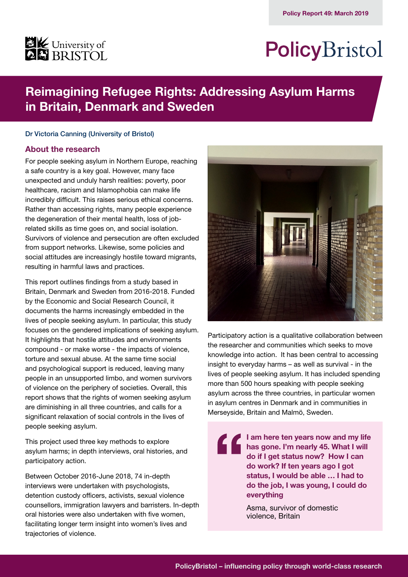

# PolicyBristol

# **Reimagining Refugee Rights: Addressing Asylum Harms in Britain, Denmark and Sweden**

#### Dr Victoria Canning (University of Bristol)

## **About the research**

For people seeking asylum in Northern Europe, reaching a safe country is a key goal. However, many face unexpected and unduly harsh realities: poverty, poor healthcare, racism and Islamophobia can make life incredibly difficult. This raises serious ethical concerns. Rather than accessing rights, many people experience the degeneration of their mental health, loss of jobrelated skills as time goes on, and social isolation. Survivors of violence and persecution are often excluded from support networks. Likewise, some policies and social attitudes are increasingly hostile toward migrants, resulting in harmful laws and practices.

This report outlines findings from a study based in Britain, Denmark and Sweden from 2016-2018. Funded by the Economic and Social Research Council, it documents the harms increasingly embedded in the lives of people seeking asylum. In particular, this study focuses on the gendered implications of seeking asylum. It highlights that hostile attitudes and environments compound - or make worse - the impacts of violence, torture and sexual abuse. At the same time social and psychological support is reduced, leaving many people in an unsupported limbo, and women survivors of violence on the periphery of societies. Overall, this report shows that the rights of women seeking asylum are diminishing in all three countries, and calls for a significant relaxation of social controls in the lives of people seeking asylum.

This project used three key methods to explore asylum harms; in depth interviews, oral histories, and participatory action.

Between October 2016-June 2018, 74 in-depth interviews were undertaken with psychologists, detention custody officers, activists, sexual violence counsellors, immigration lawyers and barristers. In-depth oral histories were also undertaken with five women, facilitating longer term insight into women's lives and trajectories of violence.



Participatory action is a qualitative collaboration between the researcher and communities which seeks to move knowledge into action. It has been central to accessing insight to everyday harms – as well as survival - in the lives of people seeking asylum. It has included spending more than 500 hours speaking with people seeking asylum across the three countries, in particular women in asylum centres in Denmark and in communities in Merseyside, Britain and Malmö, Sweden.

> **I am here ten years now and my life has gone. I'm nearly 45. What I will do if I get status now? How I can do work? If ten years ago I got status, I would be able … I had to do the job, I was young, I could do everything**

Asma, survivor of domestic violence, Britain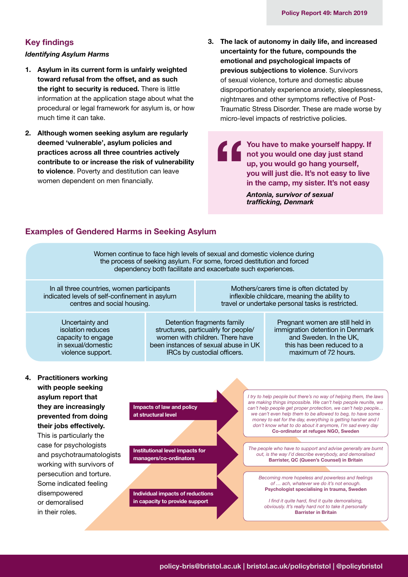#### **Key findings**

#### *Identifying Asylum Harms*

- **1. Asylum in its current form is unfairly weighted toward refusal from the offset, and as such the right to security is reduced.** There is little information at the application stage about what the procedural or legal framework for asylum is, or how much time it can take.
- **2. Although women seeking asylum are regularly deemed 'vulnerable', asylum policies and practices across all three countries actively contribute to or increase the risk of vulnerability to violence**. Poverty and destitution can leave women dependent on men financially.
- **3. The lack of autonomy in daily life, and increased uncertainty for the future, compounds the emotional and psychological impacts of previous subjections to violence**. Survivors of sexual violence, torture and domestic abuse disproportionately experience anxiety, sleeplessness, nightmares and other symptoms reflective of Post-Traumatic Stress Disorder. These are made worse by micro-level impacts of restrictive policies.

**You have to make yourself happy. If not you have to make yourself happy.**<br>**The view you would one day just stand up, you would go hang yourself, you will just die. It's not easy to live in the camp, my sister. It's not easy** *Antonia, survivor of sexual trafficking, Denmark*

# **Examples of Gendered Harms in Seeking Asylum**

Women continue to face high levels of sexual and domestic violence during the process of seeking asylum. For some, forced destitution and forced dependency both facilitate and exacerbate such experiences.

In all three countries, women participants indicated levels of self-confinement in asylum centres and social housing.

Mothers/carers time is often dictated by inflexible childcare, meaning the ability to travel or undertake personal tasks is restricted.

Uncertainty and isolation reduces capacity to engage in sexual/domestic violence support.

Detention fragments family structures, particualrly for people/ women with children. There have been instances of sexual abuse in UK IRCs by custodial officers.

Pregnant women are still held in immigration detention in Denmark and Sweden. In the UK, this has been reduced to a maximum of 72 hours.

**4. Practitioners working with people seeking asylum report that they are increasingly prevented from doing their jobs effectively.** This is particularly the case for psychologists and psychotraumatologists working with survivors of persecution and torture. Some indicated feeling disempowered or demoralised in their roles.

**Impacts of law and policy at structural level**

**Institutional level impacts for managers/co-ordinators**

**Individual impacts of reductions in capacity to provide support**

*I try to help people but there's no way of helping them, the laws are making things impossible. We can't help people reunite, we can't help people get proper protection, we can't help people… we can't even help them to be allowed to beg, to have some money to eat for the day, everything is getting harsher and I don't know what to do about it anymore, I'm sad every day* **Co-ordinator at refugee NGO, Sweden**

*The people who have to support and advise generally are burnt out, is the way I'd describe everybody, and demoralised*  **Barrister, QC (Queen's Counsel) in Britain**

*Becoming more hopeless and powerless and feelings of … ach, whatever we do it's not enough.*  **Psychologist specialising in trauma, Sweden**

*I find it quite hard, find it quite demoralising, obviously. It's really hard not to take it personally*  **Barrister in Britain**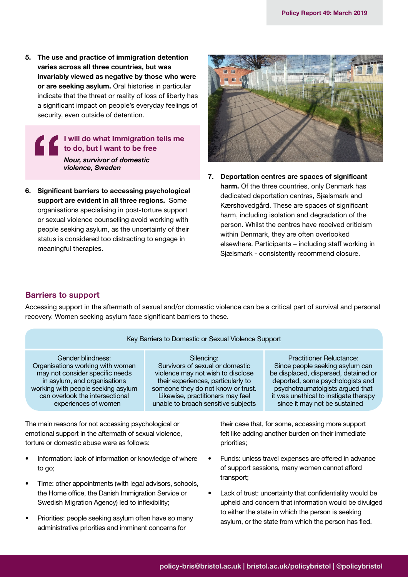**5. The use and practice of immigration detention varies across all three countries, but was invariably viewed as negative by those who were or are seeking asylum.** Oral histories in particular indicate that the threat or reality of loss of liberty has a significant impact on people's everyday feelings of security, even outside of detention.

> **I will do what Immigration tells me to do, but I want to be free** *Nour, survivor of domestic violence, Sweden*

**6. Significant barriers to accessing psychological support are evident in all three regions.** Some organisations specialising in post-torture support or sexual violence counselling avoid working with people seeking asylum, as the uncertainty of their status is considered too distracting to engage in meaningful therapies.



**7. Deportation centres are spaces of significant harm.** Of the three countries, only Denmark has dedicated deportation centres, Sjælsmark and Kærshovedgård. These are spaces of significant harm, including isolation and degradation of the person. Whilst the centres have received criticism within Denmark, they are often overlooked elsewhere. Participants – including staff working in Sjælsmark - consistently recommend closure.

## **Barriers to support**

Accessing support in the aftermath of sexual and/or domestic violence can be a critical part of survival and personal recovery. Women seeking asylum face significant barriers to these.

#### Key Barriers to Domestic or Sexual Violence Support

Gender blindness: Organisations working with women may not consider specific needs in asylum, and organisations working with people seeking asylum can overlook the intersectional experiences of women

Silencing: Survivors of sexual or domestic violence may not wish to disclose their experiences, particularly to someone they do not know or trust. Likewise, practitioners may feel unable to broach sensitive subjects

Practitioner Reluctance: Since people seeking asylum can be displaced, dispersed, detained or deported, some psychologists and psychotraumatolgists argued that it was unethical to instigate therapy since it may not be sustained

The main reasons for not accessing psychological or emotional support in the aftermath of sexual violence, torture or domestic abuse were as follows:

- Information: lack of information or knowledge of where to go;
- Time: other appointments (with legal advisors, schools, the Home office, the Danish Immigration Service or Swedish Migration Agency) led to inflexibility;
- Priorities: people seeking asylum often have so many administrative priorities and imminent concerns for

their case that, for some, accessing more support felt like adding another burden on their immediate priorities;

- Funds: unless travel expenses are offered in advance of support sessions, many women cannot afford transport;
- Lack of trust: uncertainty that confidentiality would be upheld and concern that information would be divulged to either the state in which the person is seeking asylum, or the state from which the person has fled.